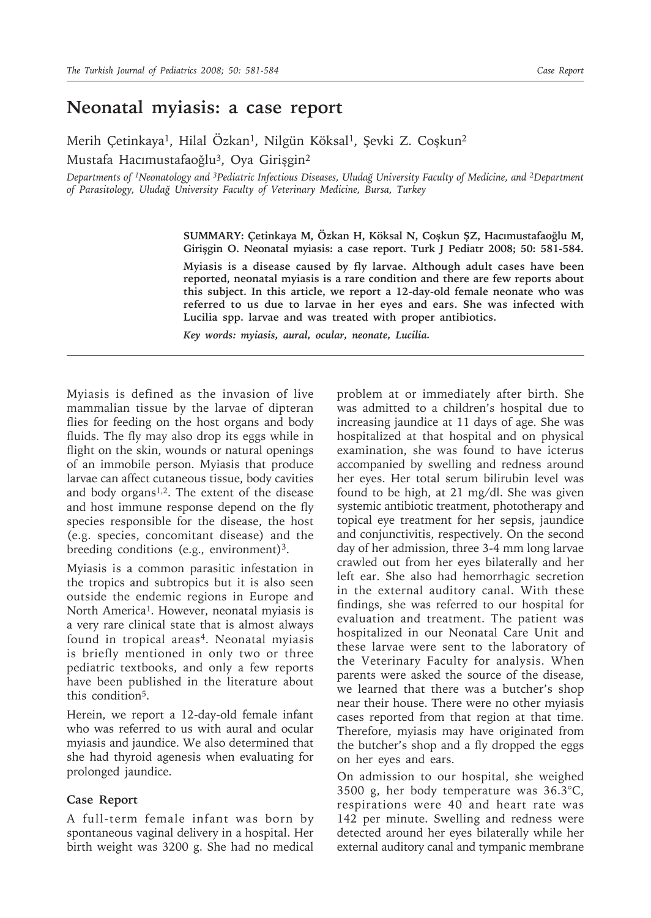## **Neonatal myiasis: a case report**

Merih Çetinkaya<sup>1</sup>, Hilal Özkan<sup>1</sup>, Nilgün Köksal<sup>1</sup>, Şevki Z. Coşkun<sup>2</sup> Mustafa Hacımustafaoğlu<sup>3</sup>, Oya Girişgin<sup>2</sup>

*Departments of 1Neonatology and 3Pediatric Infectious Diseases, Uludağ University Faculty of Medicine, and 2Department of Parasitology, Uludağ University Faculty of Veterinary Medicine, Bursa, Turkey*

> **SUMMARY: Çetinkaya M, Özkan H, Köksal N, Coşkun ŞZ, Hacımustafaoğlu M, Girişgin O. Neonatal myiasis: a case report. Turk J Pediatr 2008; 50: 581-584.**

> **Myiasis is a disease caused by fly larvae. Although adult cases have been reported, neonatal myiasis is a rare condition and there are few reports about this subject. In this article, we report a 12-day-old female neonate who was referred to us due to larvae in her eyes and ears. She was infected with Lucilia spp. larvae and was treated with proper antibiotics.**

*Key words: myiasis, aural, ocular, neonate, Lucilia.*

Myiasis is defined as the invasion of live mammalian tissue by the larvae of dipteran flies for feeding on the host organs and body fluids. The fly may also drop its eggs while in flight on the skin, wounds or natural openings of an immobile person. Myiasis that produce larvae can affect cutaneous tissue, body cavities and body organs<sup>1,2</sup>. The extent of the disease and host immune response depend on the fly species responsible for the disease, the host (e.g. species, concomitant disease) and the breeding conditions (e.g., environment)<sup>3</sup>.

Myiasis is a common parasitic infestation in the tropics and subtropics but it is also seen outside the endemic regions in Europe and North America<sup>1</sup>. However, neonatal myiasis is a very rare clinical state that is almost always found in tropical areas<sup>4</sup>. Neonatal myiasis is briefly mentioned in only two or three pediatric textbooks, and only a few reports have been published in the literature about this condition<sup>5</sup>.

Herein, we report a 12-day-old female infant who was referred to us with aural and ocular myiasis and jaundice. We also determined that she had thyroid agenesis when evaluating for prolonged jaundice.

## **Case Report**

A full-term female infant was born by spontaneous vaginal delivery in a hospital. Her birth weight was 3200 g. She had no medical

problem at or immediately after birth. She was admitted to a children's hospital due to increasing jaundice at 11 days of age. She was hospitalized at that hospital and on physical examination, she was found to have icterus accompanied by swelling and redness around her eyes. Her total serum bilirubin level was found to be high, at 21 mg/dl. She was given systemic antibiotic treatment, phototherapy and topical eye treatment for her sepsis, jaundice and conjunctivitis, respectively. On the second day of her admission, three 3-4 mm long larvae crawled out from her eyes bilaterally and her left ear. She also had hemorrhagic secretion in the external auditory canal. With these findings, she was referred to our hospital for evaluation and treatment. The patient was hospitalized in our Neonatal Care Unit and these larvae were sent to the laboratory of the Veterinary Faculty for analysis. When parents were asked the source of the disease, we learned that there was a butcher's shop near their house. There were no other myiasis cases reported from that region at that time. Therefore, myiasis may have originated from the butcher's shop and a fly dropped the eggs on her eyes and ears.

On admission to our hospital, she weighed 3500 g, her body temperature was 36.3°C, respirations were 40 and heart rate was 142 per minute. Swelling and redness were detected around her eyes bilaterally while her external auditory canal and tympanic membrane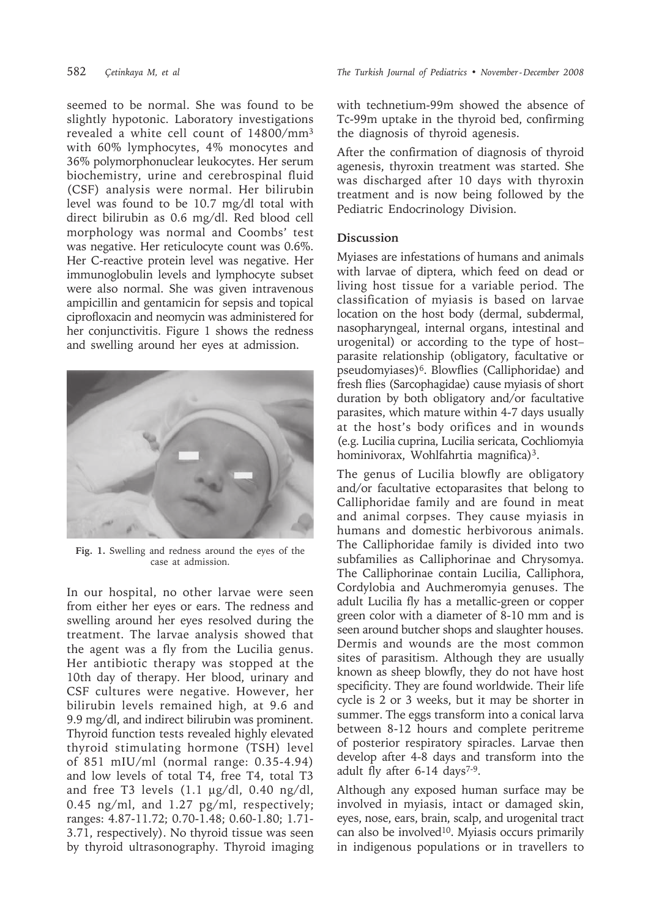seemed to be normal. She was found to be slightly hypotonic. Laboratory investigations revealed a white cell count of 14800/mm3 with 60% lymphocytes, 4% monocytes and 36% polymorphonuclear leukocytes. Her serum biochemistry, urine and cerebrospinal fluid (CSF) analysis were normal. Her bilirubin level was found to be 10.7 mg/dl total with direct bilirubin as 0.6 mg/dl. Red blood cell morphology was normal and Coombs' test was negative. Her reticulocyte count was 0.6%. Her C-reactive protein level was negative. Her immunoglobulin levels and lymphocyte subset were also normal. She was given intravenous ampicillin and gentamicin for sepsis and topical ciprofloxacin and neomycin was administered for her conjunctivitis. Figure 1 shows the redness and swelling around her eyes at admission.



**Fig. 1.** Swelling and redness around the eyes of the case at admission.

In our hospital, no other larvae were seen from either her eyes or ears. The redness and swelling around her eyes resolved during the treatment. The larvae analysis showed that the agent was a fly from the Lucilia genus. Her antibiotic therapy was stopped at the 10th day of therapy. Her blood, urinary and CSF cultures were negative. However, her bilirubin levels remained high, at 9.6 and 9.9 mg/dl, and indirect bilirubin was prominent. Thyroid function tests revealed highly elevated thyroid stimulating hormone (TSH) level of 851 mIU/ml (normal range: 0.35-4.94) and low levels of total T4, free T4, total T3 and free T3 levels  $(1.1 \text{ µg}/dl, 0.40 \text{ ng}/dl,$ 0.45 ng/ml, and 1.27 pg/ml, respectively; ranges: 4.87-11.72; 0.70-1.48; 0.60-1.80; 1.71- 3.71, respectively). No thyroid tissue was seen by thyroid ultrasonography. Thyroid imaging with technetium-99m showed the absence of Tc-99m uptake in the thyroid bed, confirming the diagnosis of thyroid agenesis.

After the confirmation of diagnosis of thyroid agenesis, thyroxin treatment was started. She was discharged after 10 days with thyroxin treatment and is now being followed by the Pediatric Endocrinology Division.

## **Discussion**

Myiases are infestations of humans and animals with larvae of diptera, which feed on dead or living host tissue for a variable period. The classification of myiasis is based on larvae location on the host body (dermal, subdermal, nasopharyngeal, internal organs, intestinal and urogenital) or according to the type of host– parasite relationship (obligatory, facultative or pseudomyiases)<sup>6</sup>. Blowflies (Calliphoridae) and fresh flies (Sarcophagidae) cause myiasis of short duration by both obligatory and/or facultative parasites, which mature within 4-7 days usually at the host's body orifices and in wounds (e.g. Lucilia cuprina, Lucilia sericata, Cochliomyia hominivorax, Wohlfahrtia magnifica)<sup>3</sup>.

The genus of Lucilia blowfly are obligatory and/or facultative ectoparasites that belong to Calliphoridae family and are found in meat and animal corpses. They cause myiasis in humans and domestic herbivorous animals. The Calliphoridae family is divided into two subfamilies as Calliphorinae and Chrysomya. The Calliphorinae contain Lucilia, Calliphora, Cordylobia and Auchmeromyia genuses. The adult Lucilia fly has a metallic-green or copper green color with a diameter of 8-10 mm and is seen around butcher shops and slaughter houses. Dermis and wounds are the most common sites of parasitism. Although they are usually known as sheep blowfly, they do not have host specificity. They are found worldwide. Their life cycle is 2 or 3 weeks, but it may be shorter in summer. The eggs transform into a conical larva between 8-12 hours and complete peritreme of posterior respiratory spiracles. Larvae then develop after 4-8 days and transform into the adult fly after 6-14 days<sup>7-9</sup>.

Although any exposed human surface may be involved in myiasis, intact or damaged skin, eyes, nose, ears, brain, scalp, and urogenital tract can also be involved<sup>10</sup>. Myiasis occurs primarily in indigenous populations or in travellers to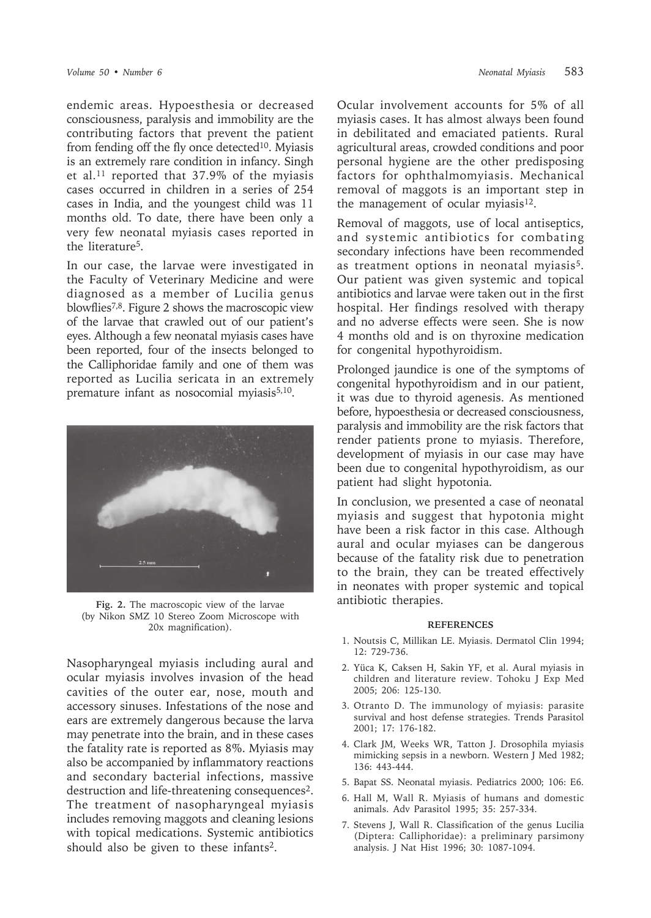endemic areas. Hypoesthesia or decreased consciousness, paralysis and immobility are the contributing factors that prevent the patient from fending off the fly once detected<sup>10</sup>. Myiasis is an extremely rare condition in infancy. Singh et al.11 reported that 37.9% of the myiasis cases occurred in children in a series of 254 cases in India, and the youngest child was 11 months old. To date, there have been only a very few neonatal myiasis cases reported in the literature5.

In our case, the larvae were investigated in the Faculty of Veterinary Medicine and were diagnosed as a member of Lucilia genus blowflies7,8. Figure 2 shows the macroscopic view of the larvae that crawled out of our patient's eyes. Although a few neonatal myiasis cases have been reported, four of the insects belonged to the Calliphoridae family and one of them was reported as Lucilia sericata in an extremely premature infant as nosocomial myiasis<sup>5,10</sup>.



**Fig. 2.** The macroscopic view of the larvae (by Nikon SMZ 10 Stereo Zoom Microscope with 20x magnification).

Nasopharyngeal myiasis including aural and ocular myiasis involves invasion of the head cavities of the outer ear, nose, mouth and accessory sinuses. Infestations of the nose and ears are extremely dangerous because the larva may penetrate into the brain, and in these cases the fatality rate is reported as 8%. Myiasis may also be accompanied by inflammatory reactions and secondary bacterial infections, massive destruction and life-threatening consequences<sup>2</sup>. The treatment of nasopharyngeal myiasis includes removing maggots and cleaning lesions with topical medications. Systemic antibiotics should also be given to these infants<sup>2</sup>.

Ocular involvement accounts for 5% of all myiasis cases. It has almost always been found in debilitated and emaciated patients. Rural agricultural areas, crowded conditions and poor personal hygiene are the other predisposing factors for ophthalmomyiasis. Mechanical removal of maggots is an important step in the management of ocular myiasis<sup>12</sup>.

Removal of maggots, use of local antiseptics, and systemic antibiotics for combating secondary infections have been recommended as treatment options in neonatal myiasis5. Our patient was given systemic and topical antibiotics and larvae were taken out in the first hospital. Her findings resolved with therapy and no adverse effects were seen. She is now 4 months old and is on thyroxine medication for congenital hypothyroidism.

Prolonged jaundice is one of the symptoms of congenital hypothyroidism and in our patient, it was due to thyroid agenesis. As mentioned before, hypoesthesia or decreased consciousness, paralysis and immobility are the risk factors that render patients prone to myiasis. Therefore, development of myiasis in our case may have been due to congenital hypothyroidism, as our patient had slight hypotonia.

In conclusion, we presented a case of neonatal myiasis and suggest that hypotonia might have been a risk factor in this case. Although aural and ocular myiases can be dangerous because of the fatality risk due to penetration to the brain, they can be treated effectively in neonates with proper systemic and topical antibiotic therapies.

## **REFERENCES**

- 1. Noutsis C, Millikan LE. Myiasis. Dermatol Clin 1994; 12: 729-736.
- 2. Yüca K, Caksen H, Sakin YF, et al. Aural myiasis in children and literature review. Tohoku J Exp Med 2005; 206: 125-130.
- 3. Otranto D. The immunology of myiasis: parasite survival and host defense strategies. Trends Parasitol 2001; 17: 176-182.
- 4. Clark JM, Weeks WR, Tatton J. Drosophila myiasis mimicking sepsis in a newborn. Western J Med 1982; 136: 443-444.
- 5. Bapat SS. Neonatal myiasis. Pediatrics 2000; 106: E6.
- 6. Hall M, Wall R. Myiasis of humans and domestic animals. Adv Parasitol 1995; 35: 257-334.
- 7. Stevens J, Wall R. Classification of the genus Lucilia (Diptera: Calliphoridae): a preliminary parsimony analysis. J Nat Hist 1996; 30: 1087-1094.